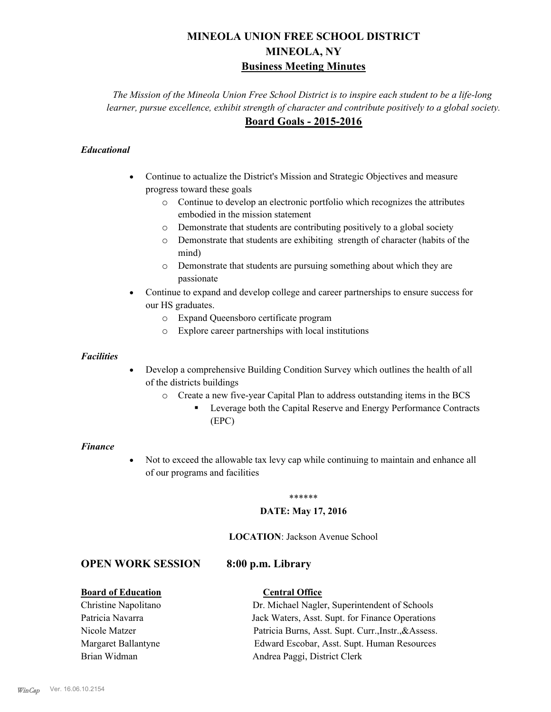# **MINEOLA UNION FREE SCHOOL DISTRICT MINEOLA, NY Business Meeting Minutes**

*The Mission of the Mineola Union Free School District is to inspire each student to be a life-long learner, pursue excellence, exhibit strength of character and contribute positively to a global society.* **Board Goals - 2015-2016**

#### *Educational*

- · Continue to actualize the District's Mission and Strategic Objectives and measure progress toward these goals
	- o Continue to develop an electronic portfolio which recognizes the attributes embodied in the mission statement
	- o Demonstrate that students are contributing positively to a global society
	- o Demonstrate that students are exhibiting strength of character (habits of the mind)
	- o Demonstrate that students are pursuing something about which they are passionate
- Continue to expand and develop college and career partnerships to ensure success for our HS graduates.
	- o Expand Queensboro certificate program
	- o Explore career partnerships with local institutions

#### *Facilities*

- Develop a comprehensive Building Condition Survey which outlines the health of all of the districts buildings
	- o Create a new five-year Capital Plan to address outstanding items in the BCS
		- § Leverage both the Capital Reserve and Energy Performance Contracts (EPC)

#### *Finance*

• Not to exceed the allowable tax levy cap while continuing to maintain and enhance all of our programs and facilities

#### \*\*\*\*\*\*

#### **DATE: May 17, 2016**

#### **LOCATION**: Jackson Avenue School

#### **OPEN WORK SESSION 8:00 p.m. Library**

#### **Board of Education Central Office**

Christine Napolitano Dr. Michael Nagler, Superintendent of Schools Patricia Navarra Jack Waters, Asst. Supt. for Finance Operations Nicole Matzer Patricia Burns, Asst. Supt. Curr.,Instr.,&Assess. Margaret Ballantyne Edward Escobar, Asst. Supt. Human Resources Brian Widman **Andrea Paggi, District Clerk**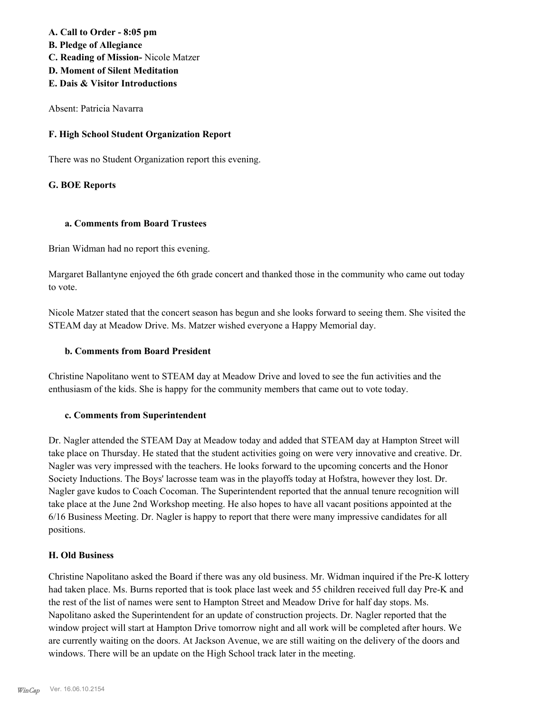#### **A. Call to Order - 8:05 pm**

- **B. Pledge of Allegiance**
- **C. Reading of Mission-** Nicole Matzer
- **D. Moment of Silent Meditation**
- **E. Dais & Visitor Introductions**

Absent: Patricia Navarra

#### **F. High School Student Organization Report**

There was no Student Organization report this evening.

### **G. BOE Reports**

#### **a. Comments from Board Trustees**

Brian Widman had no report this evening.

Margaret Ballantyne enjoyed the 6th grade concert and thanked those in the community who came out today to vote.

Nicole Matzer stated that the concert season has begun and she looks forward to seeing them. She visited the STEAM day at Meadow Drive. Ms. Matzer wished everyone a Happy Memorial day.

#### **b. Comments from Board President**

Christine Napolitano went to STEAM day at Meadow Drive and loved to see the fun activities and the enthusiasm of the kids. She is happy for the community members that came out to vote today.

#### **c. Comments from Superintendent**

Dr. Nagler attended the STEAM Day at Meadow today and added that STEAM day at Hampton Street will take place on Thursday. He stated that the student activities going on were very innovative and creative. Dr. Nagler was very impressed with the teachers. He looks forward to the upcoming concerts and the Honor Society Inductions. The Boys' lacrosse team was in the playoffs today at Hofstra, however they lost. Dr. Nagler gave kudos to Coach Cocoman. The Superintendent reported that the annual tenure recognition will take place at the June 2nd Workshop meeting. He also hopes to have all vacant positions appointed at the 6/16 Business Meeting. Dr. Nagler is happy to report that there were many impressive candidates for all positions.

#### **H. Old Business**

Christine Napolitano asked the Board if there was any old business. Mr. Widman inquired if the Pre-K lottery had taken place. Ms. Burns reported that is took place last week and 55 children received full day Pre-K and the rest of the list of names were sent to Hampton Street and Meadow Drive for half day stops. Ms. Napolitano asked the Superintendent for an update of construction projects. Dr. Nagler reported that the window project will start at Hampton Drive tomorrow night and all work will be completed after hours. We are currently waiting on the doors. At Jackson Avenue, we are still waiting on the delivery of the doors and windows. There will be an update on the High School track later in the meeting.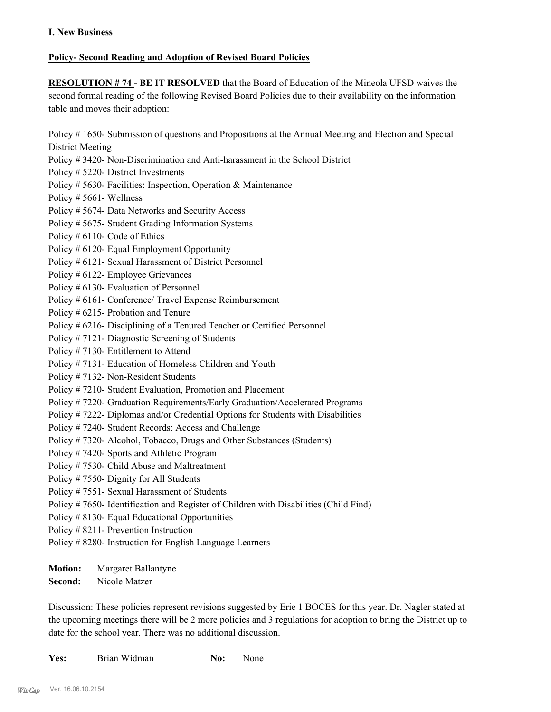#### **Policy- Second Reading and Adoption of Revised Board Policies**

**RESOLUTION # 74 - BE IT RESOLVED** that the Board of Education of the Mineola UFSD waives the second formal reading of the following Revised Board Policies due to their availability on the information table and moves their adoption:

Policy # 1650- Submission of questions and Propositions at the Annual Meeting and Election and Special District Meeting

- Policy # 3420- Non-Discrimination and Anti-harassment in the School District
- Policy # 5220- District Investments
- Policy # 5630- Facilities: Inspection, Operation & Maintenance
- Policy # 5661- Wellness
- Policy # 5674- Data Networks and Security Access
- Policy # 5675- Student Grading Information Systems
- Policy # 6110- Code of Ethics
- Policy # 6120- Equal Employment Opportunity
- Policy # 6121- Sexual Harassment of District Personnel
- Policy # 6122- Employee Grievances
- Policy # 6130- Evaluation of Personnel
- Policy # 6161- Conference/ Travel Expense Reimbursement
- Policy # 6215- Probation and Tenure
- Policy # 6216- Disciplining of a Tenured Teacher or Certified Personnel
- Policy # 7121- Diagnostic Screening of Students
- Policy # 7130- Entitlement to Attend
- Policy # 7131- Education of Homeless Children and Youth
- Policy # 7132- Non-Resident Students
- Policy # 7210- Student Evaluation, Promotion and Placement
- Policy # 7220- Graduation Requirements/Early Graduation/Accelerated Programs
- Policy # 7222- Diplomas and/or Credential Options for Students with Disabilities
- Policy # 7240- Student Records: Access and Challenge
- Policy # 7320- Alcohol, Tobacco, Drugs and Other Substances (Students)
- Policy # 7420- Sports and Athletic Program
- Policy # 7530- Child Abuse and Maltreatment
- Policy # 7550- Dignity for All Students
- Policy # 7551- Sexual Harassment of Students
- Policy # 7650- Identification and Register of Children with Disabilities (Child Find)
- Policy # 8130- Equal Educational Opportunities
- Policy # 8211- Prevention Instruction
- Policy # 8280- Instruction for English Language Learners
- **Motion:** Margaret Ballantyne
- **Second:** Nicole Matzer

Discussion: These policies represent revisions suggested by Erie 1 BOCES for this year. Dr. Nagler stated at the upcoming meetings there will be 2 more policies and 3 regulations for adoption to bring the District up to date for the school year. There was no additional discussion.

| Yes: | Brian Widman | No: | None |
|------|--------------|-----|------|
|      |              |     |      |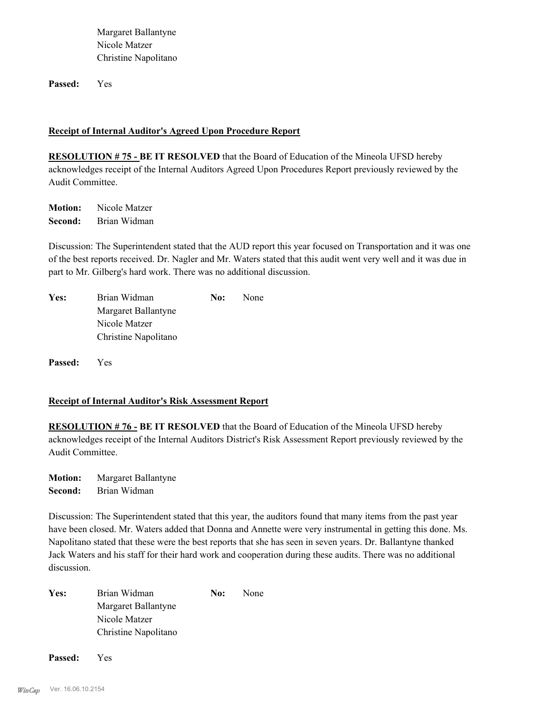Margaret Ballantyne Nicole Matzer Christine Napolitano

**Passed:** Yes

#### **Receipt of Internal Auditor's Agreed Upon Procedure Report**

**RESOLUTION # 75 - BE IT RESOLVED** that the Board of Education of the Mineola UFSD hereby acknowledges receipt of the Internal Auditors Agreed Upon Procedures Report previously reviewed by the Audit Committee.

**Motion:** Nicole Matzer **Second:** Brian Widman

Discussion: The Superintendent stated that the AUD report this year focused on Transportation and it was one of the best reports received. Dr. Nagler and Mr. Waters stated that this audit went very well and it was due in part to Mr. Gilberg's hard work. There was no additional discussion.

| Yes: | Brian Widman         | No: | None |
|------|----------------------|-----|------|
|      | Margaret Ballantyne  |     |      |
|      | Nicole Matzer        |     |      |
|      | Christine Napolitano |     |      |

**Passed:** Yes

#### **Receipt of Internal Auditor's Risk Assessment Report**

**RESOLUTION # 76 - BE IT RESOLVED** that the Board of Education of the Mineola UFSD hereby acknowledges receipt of the Internal Auditors District's Risk Assessment Report previously reviewed by the Audit Committee.

**Motion:** Margaret Ballantyne **Second:** Brian Widman

Discussion: The Superintendent stated that this year, the auditors found that many items from the past year have been closed. Mr. Waters added that Donna and Annette were very instrumental in getting this done. Ms. Napolitano stated that these were the best reports that she has seen in seven years. Dr. Ballantyne thanked Jack Waters and his staff for their hard work and cooperation during these audits. There was no additional discussion.

Yes: Brian Widman **No:** None Margaret Ballantyne Nicole Matzer Christine Napolitano

**Passed:** Yes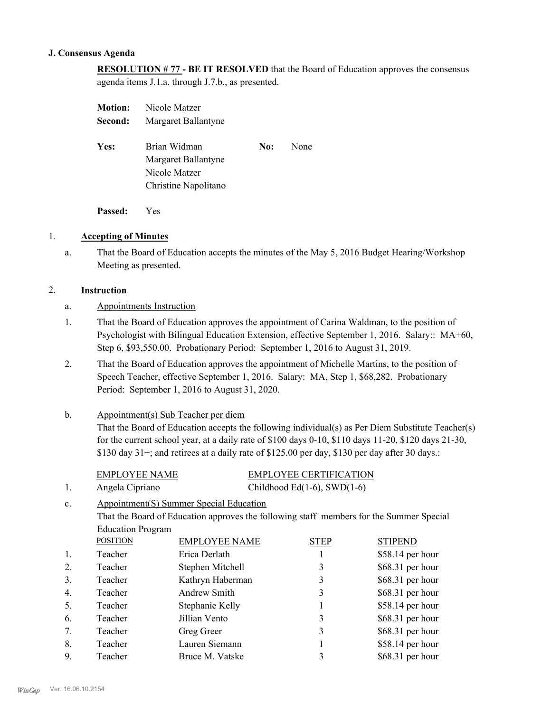#### **J. Consensus Agenda**

# **RESOLUTION # 77 - BE IT RESOLVED** that the Board of Education approves the consensus

agenda items J.1.a. through J.7.b., as presented.

| <b>Motion:</b> | Nicole Matzer                                        |     |      |
|----------------|------------------------------------------------------|-----|------|
| Second:        | Margaret Ballantyne                                  |     |      |
| Yes:           | Brian Widman<br>Margaret Ballantyne<br>Nicole Matzer | No: | None |
|                | Christine Napolitano                                 |     |      |

**Passed:** Yes

#### 1. **Accepting of Minutes**

That the Board of Education accepts the minutes of the May 5, 2016 Budget Hearing/Workshop Meeting as presented. a.

#### 2. **Instruction**

- a. Appointments Instruction
- That the Board of Education approves the appointment of Carina Waldman, to the position of Psychologist with Bilingual Education Extension, effective September 1, 2016. Salary:: MA+60, Step 6, \$93,550.00. Probationary Period: September 1, 2016 to August 31, 2019. 1.
- That the Board of Education approves the appointment of Michelle Martins, to the position of Speech Teacher, effective September 1, 2016. Salary: MA, Step 1, \$68,282. Probationary Period: September 1, 2016 to August 31, 2020. 2.

#### Appointment(s) Sub Teacher per diem b.

That the Board of Education accepts the following individual(s) as Per Diem Substitute Teacher(s) for the current school year, at a daily rate of \$100 days 0-10, \$110 days 11-20, \$120 days 21-30, \$130 day 31+; and retirees at a daily rate of \$125.00 per day, \$130 per day after 30 days.:

|                  | <b>EMPLOYEE NAME</b>     |                                                                                         | <b>EMPLOYEE CERTIFICATION</b>      |                   |
|------------------|--------------------------|-----------------------------------------------------------------------------------------|------------------------------------|-------------------|
| 1.               | Angela Cipriano          |                                                                                         | Childhood Ed $(1-6)$ , SWD $(1-6)$ |                   |
| c.               |                          | Appointment(S) Summer Special Education                                                 |                                    |                   |
|                  |                          | That the Board of Education approves the following staff members for the Summer Special |                                    |                   |
|                  | <b>Education Program</b> |                                                                                         |                                    |                   |
|                  | <b>POSITION</b>          | <b>EMPLOYEE NAME</b>                                                                    | <b>STEP</b>                        | <b>STIPEND</b>    |
|                  | Teacher                  | Erica Derlath                                                                           |                                    | $$58.14$ per hour |
| 2.               | Teacher                  | Stephen Mitchell                                                                        | 3                                  | $$68.31$ per hour |
| 3.               | Teacher                  | Kathryn Haberman                                                                        | 3                                  | $$68.31$ per hour |
| $\overline{4}$ . | Teacher                  | Andrew Smith                                                                            | 3                                  | $$68.31$ per hour |
| 5.               | Teacher                  | Stephanie Kelly                                                                         |                                    | \$58.14 per hour  |
| 6.               | Teacher                  | Jillian Vento                                                                           | 3                                  | $$68.31$ per hour |
| 7.               | Teacher                  | Greg Greer                                                                              | 3                                  | \$68.31 per hour  |
| 8.               | Teacher                  | Lauren Siemann                                                                          |                                    | \$58.14 per hour  |
| 9.               | Teacher                  | Bruce M. Vatske                                                                         | 3                                  | \$68.31 per hour  |
|                  |                          |                                                                                         |                                    |                   |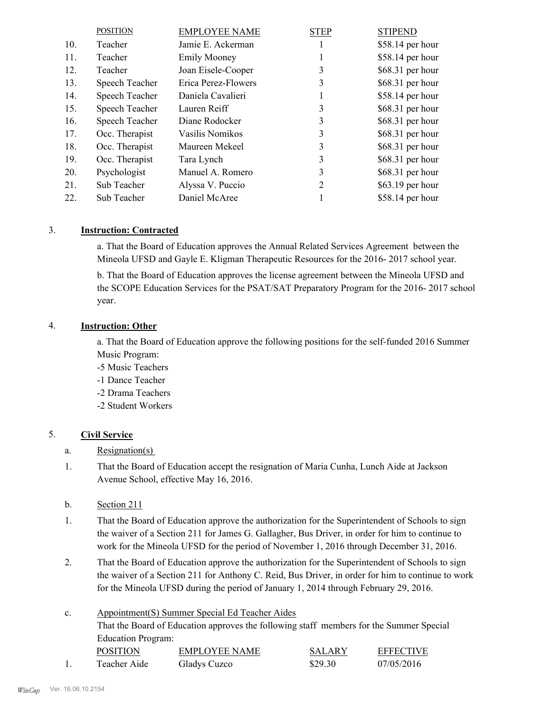|     | <b>POSITION</b> | <b>EMPLOYEE NAME</b> | <b>STEP</b> | <b>STIPEND</b>    |
|-----|-----------------|----------------------|-------------|-------------------|
| 10. | Teacher         | Jamie E. Ackerman    |             | \$58.14 per hour  |
| 11. | Teacher         | <b>Emily Mooney</b>  |             | \$58.14 per hour  |
| 12. | Teacher         | Joan Eisele-Cooper   | 3           | \$68.31 per hour  |
| 13. | Speech Teacher  | Erica Perez-Flowers  | 3           | \$68.31 per hour  |
| 14. | Speech Teacher  | Daniela Cavalieri    | 1           | \$58.14 per hour  |
| 15. | Speech Teacher  | Lauren Reiff         | 3           | \$68.31 per hour  |
| 16. | Speech Teacher  | Diane Rodocker       | 3           | \$68.31 per hour  |
| 17. | Occ. Therapist  | Vasilis Nomikos      | 3           | \$68.31 per hour  |
| 18. | Occ. Therapist  | Maureen Mekeel       | 3           | $$68.31$ per hour |
| 19. | Occ. Therapist  | Tara Lynch           | 3           | \$68.31 per hour  |
| 20. | Psychologist    | Manuel A. Romero     | 3           | \$68.31 per hour  |
| 21. | Sub Teacher     | Alyssa V. Puccio     | 2           | \$63.19 per hour  |
| 22. | Sub Teacher     | Daniel McAree        |             | \$58.14 per hour  |

#### 3. **Instruction: Contracted**

a. That the Board of Education approves the Annual Related Services Agreement between the Mineola UFSD and Gayle E. Kligman Therapeutic Resources for the 2016- 2017 school year.

b. That the Board of Education approves the license agreement between the Mineola UFSD and the SCOPE Education Services for the PSAT/SAT Preparatory Program for the 2016- 2017 school year.

#### 4. **Instruction: Other**

a. That the Board of Education approve the following positions for the self-funded 2016 Summer Music Program:

- -5 Music Teachers
- -1 Dance Teacher
- -2 Drama Teachers
- -2 Student Workers

#### 5. **Civil Service**

- a. Resignation(s)
- That the Board of Education accept the resignation of Maria Cunha, Lunch Aide at Jackson Avenue School, effective May 16, 2016. 1.
- b. Section 211
- That the Board of Education approve the authorization for the Superintendent of Schools to sign the waiver of a Section 211 for James G. Gallagher, Bus Driver, in order for him to continue to work for the Mineola UFSD for the period of November 1, 2016 through December 31, 2016. 1.
- That the Board of Education approve the authorization for the Superintendent of Schools to sign the waiver of a Section 211 for Anthony C. Reid, Bus Driver, in order for him to continue to work for the Mineola UFSD during the period of January 1, 2014 through February 29, 2016. 2.

#### Appointment(S) Summer Special Ed Teacher Aides That the Board of Education approves the following staff members for the Summer Special Education Program: c. POSITION EMPLOYEE NAME SALARY EFFECTIVE 1. Teacher Aide Gladys Cuzco \$29.30 07/05/2016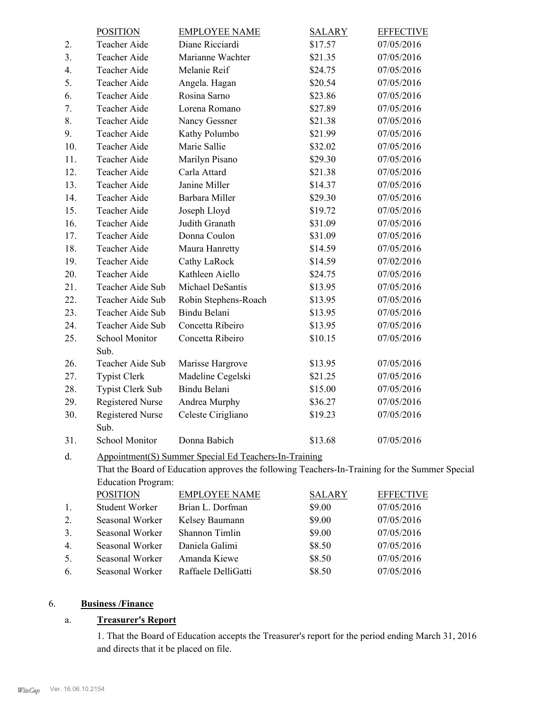|     | <b>POSITION</b>                         | <b>EMPLOYEE NAME</b>                                                                           | <b>SALARY</b> | <b>EFFECTIVE</b> |
|-----|-----------------------------------------|------------------------------------------------------------------------------------------------|---------------|------------------|
| 2.  | Teacher Aide                            | Diane Ricciardi                                                                                | \$17.57       | 07/05/2016       |
| 3.  | Teacher Aide                            | Marianne Wachter                                                                               | \$21.35       | 07/05/2016       |
| 4.  | Teacher Aide                            | Melanie Reif                                                                                   | \$24.75       | 07/05/2016       |
| 5.  | Teacher Aide                            | Angela. Hagan                                                                                  | \$20.54       | 07/05/2016       |
| 6.  | Teacher Aide                            | Rosina Sarno                                                                                   | \$23.86       | 07/05/2016       |
| 7.  | Teacher Aide                            | Lorena Romano                                                                                  | \$27.89       | 07/05/2016       |
| 8.  | Teacher Aide                            | Nancy Gessner                                                                                  | \$21.38       | 07/05/2016       |
| 9.  | Teacher Aide                            | Kathy Polumbo                                                                                  | \$21.99       | 07/05/2016       |
| 10. | Teacher Aide                            | Marie Sallie                                                                                   | \$32.02       | 07/05/2016       |
| 11. | Teacher Aide                            | Marilyn Pisano                                                                                 | \$29.30       | 07/05/2016       |
| 12. | Teacher Aide                            | Carla Attard                                                                                   | \$21.38       | 07/05/2016       |
| 13. | Teacher Aide                            | Janine Miller                                                                                  | \$14.37       | 07/05/2016       |
| 14. | Teacher Aide                            | Barbara Miller                                                                                 | \$29.30       | 07/05/2016       |
| 15. | Teacher Aide                            | Joseph Lloyd                                                                                   | \$19.72       | 07/05/2016       |
| 16. | Teacher Aide                            | Judith Granath                                                                                 | \$31.09       | 07/05/2016       |
| 17. | Teacher Aide                            | Donna Coulon                                                                                   | \$31.09       | 07/05/2016       |
| 18. | Teacher Aide                            | Maura Hanretty                                                                                 | \$14.59       | 07/05/2016       |
| 19. | Teacher Aide                            | Cathy LaRock                                                                                   | \$14.59       | 07/02/2016       |
| 20. | Teacher Aide                            | Kathleen Aiello                                                                                | \$24.75       | 07/05/2016       |
| 21. | Teacher Aide Sub                        | Michael DeSantis                                                                               | \$13.95       | 07/05/2016       |
| 22. | Teacher Aide Sub                        | Robin Stephens-Roach                                                                           | \$13.95       | 07/05/2016       |
| 23. | Teacher Aide Sub                        | Bindu Belani                                                                                   | \$13.95       | 07/05/2016       |
| 24. | Teacher Aide Sub                        | Concetta Ribeiro                                                                               | \$13.95       | 07/05/2016       |
| 25. | School Monitor                          | Concetta Ribeiro                                                                               | \$10.15       | 07/05/2016       |
|     | Sub.                                    |                                                                                                |               |                  |
| 26. | Teacher Aide Sub                        | Marisse Hargrove                                                                               | \$13.95       | 07/05/2016       |
| 27. | <b>Typist Clerk</b>                     | Madeline Cegelski                                                                              | \$21.25       | 07/05/2016       |
| 28. | <b>Typist Clerk Sub</b>                 | Bindu Belani                                                                                   | \$15.00       | 07/05/2016       |
| 29. | <b>Registered Nurse</b>                 | Andrea Murphy                                                                                  | \$36.27       | 07/05/2016       |
| 30. | <b>Registered Nurse</b>                 | Celeste Cirigliano                                                                             | \$19.23       | 07/05/2016       |
|     | Sub.                                    |                                                                                                |               |                  |
| 31. | School Monitor                          | Donna Babich                                                                                   | \$13.68       | 07/05/2016       |
| d.  |                                         | Appointment(S) Summer Special Ed Teachers-In-Training                                          |               |                  |
|     |                                         | That the Board of Education approves the following Teachers-In-Training for the Summer Special |               |                  |
|     | <b>Education Program:</b>               |                                                                                                |               |                  |
|     | <b>POSITION</b>                         | <b>EMPLOYEE NAME</b>                                                                           | <b>SALARY</b> | <b>EFFECTIVE</b> |
| 1.  | <b>Student Worker</b>                   | Brian L. Dorfman                                                                               | \$9.00        | 07/05/2016       |
| 2.  | Seasonal Worker                         | Kelsey Baumann                                                                                 | \$9.00        | 07/05/2016       |
| 3.  | Seasonal Worker                         | Shannon Timlin                                                                                 | \$9.00        | 07/05/2016       |
|     | $C_{\text{meas}}$ and $W_{\text{meas}}$ | $D$ and also $C_2$ limit                                                                       | 0000          | 07/05/2016       |

| 4  | Seasonal Worker              | Daniela Galimi      | \$8.50 | 07/05/2016 |
|----|------------------------------|---------------------|--------|------------|
|    | Seasonal Worker Amanda Kiewe |                     | \$8.50 | 07/05/2016 |
| 6. | Seasonal Worker              | Raffaele DelliGatti | \$8.50 | 07/05/2016 |

### 6. **Business /Finance**

### a. **Treasurer's Report**

1. That the Board of Education accepts the Treasurer's report for the period ending March 31, 2016 and directs that it be placed on file.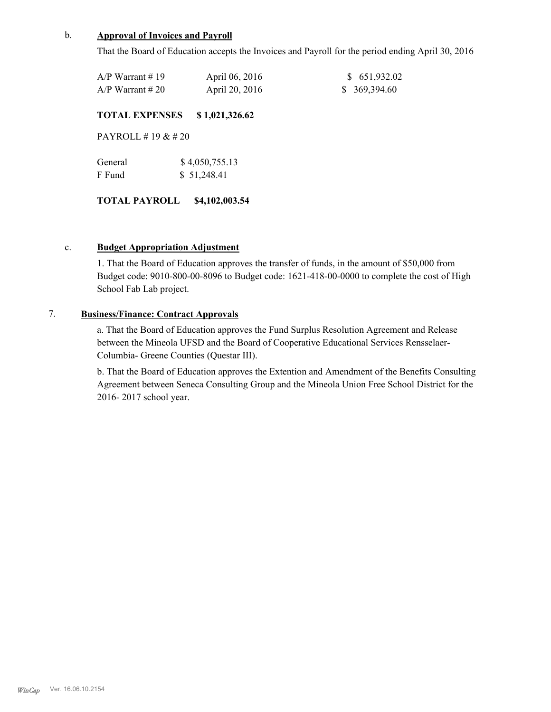#### b. **Approval of Invoices and Payroll**

That the Board of Education accepts the Invoices and Payroll for the period ending April 30, 2016

| $A/P$ Warrant # 19 | April 06, 2016 | \$ 651,932.02 |
|--------------------|----------------|---------------|
| $A/P$ Warrant # 20 | April 20, 2016 | \$369,394.60  |

#### **TOTAL EXPENSES \$ 1,021,326.62**

PAYROLL # 19 & # 20

| General | \$4,050,755.13 |
|---------|----------------|
| F Fund  | \$51,248.41    |

#### **TOTAL PAYROLL \$4,102,003.54**

#### c. **Budget Appropriation Adjustment**

1. That the Board of Education approves the transfer of funds, in the amount of \$50,000 from Budget code: 9010-800-00-8096 to Budget code: 1621-418-00-0000 to complete the cost of High School Fab Lab project.

## 7. **Business/Finance: Contract Approvals**

a. That the Board of Education approves the Fund Surplus Resolution Agreement and Release between the Mineola UFSD and the Board of Cooperative Educational Services Rensselaer-Columbia- Greene Counties (Questar III).

b. That the Board of Education approves the Extention and Amendment of the Benefits Consulting Agreement between Seneca Consulting Group and the Mineola Union Free School District for the 2016- 2017 school year.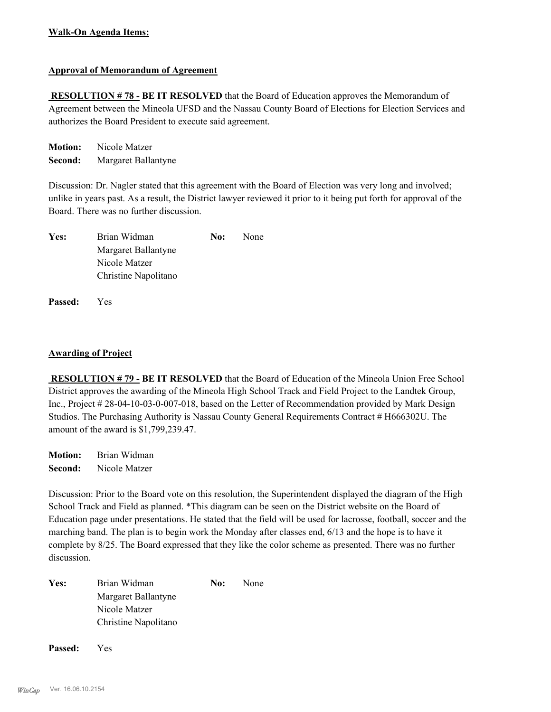#### **Walk-On Agenda Items:**

#### **Approval of Memorandum of Agreement**

 **RESOLUTION # 78 - BE IT RESOLVED** that the Board of Education approves the Memorandum of Agreement between the Mineola UFSD and the Nassau County Board of Elections for Election Services and authorizes the Board President to execute said agreement.

**Motion:** Nicole Matzer **Second:** Margaret Ballantyne

Discussion: Dr. Nagler stated that this agreement with the Board of Election was very long and involved; unlike in years past. As a result, the District lawyer reviewed it prior to it being put forth for approval of the Board. There was no further discussion.

| Yes: | Brian Widman         | No: | None |
|------|----------------------|-----|------|
|      | Margaret Ballantyne  |     |      |
|      | Nicole Matzer        |     |      |
|      | Christine Napolitano |     |      |

**Passed:** Yes

#### **Awarding of Project**

 **RESOLUTION # 79 - BE IT RESOLVED** that the Board of Education of the Mineola Union Free School District approves the awarding of the Mineola High School Track and Field Project to the Landtek Group, Inc., Project # 28-04-10-03-0-007-018, based on the Letter of Recommendation provided by Mark Design Studios. The Purchasing Authority is Nassau County General Requirements Contract # H666302U. The amount of the award is \$1,799,239.47.

**Motion:** Brian Widman **Second:** Nicole Matzer

Discussion: Prior to the Board vote on this resolution, the Superintendent displayed the diagram of the High School Track and Field as planned. \*This diagram can be seen on the District website on the Board of Education page under presentations. He stated that the field will be used for lacrosse, football, soccer and the marching band. The plan is to begin work the Monday after classes end, 6/13 and the hope is to have it complete by 8/25. The Board expressed that they like the color scheme as presented. There was no further discussion.

|                      | No:          | None |
|----------------------|--------------|------|
| Margaret Ballantyne  |              |      |
| Nicole Matzer        |              |      |
| Christine Napolitano |              |      |
|                      | Brian Widman |      |

**Passed:** Yes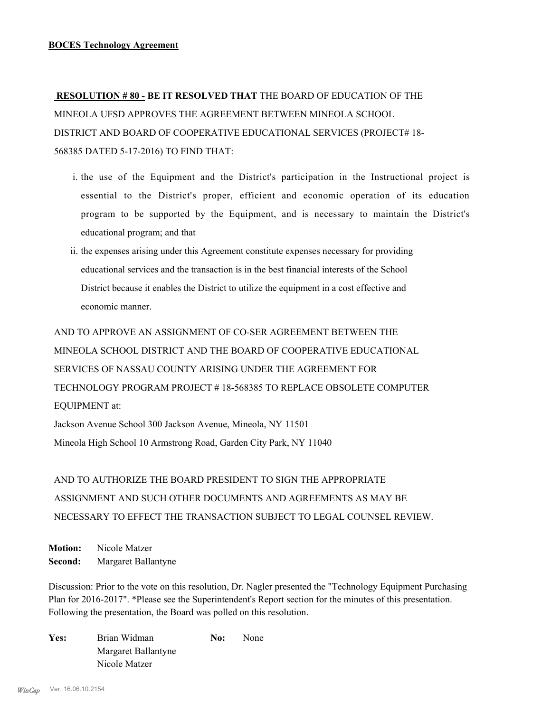**RESOLUTION # 80 - BE IT RESOLVED THAT** THE BOARD OF EDUCATION OF THE MINEOLA UFSD APPROVES THE AGREEMENT BETWEEN MINEOLA SCHOOL DISTRICT AND BOARD OF COOPERATIVE EDUCATIONAL SERVICES (PROJECT# 18- 568385 DATED 5-17-2016) TO FIND THAT:

- i. the use of the Equipment and the District's participation in the Instructional project is essential to the District's proper, efficient and economic operation of its education program to be supported by the Equipment, and is necessary to maintain the District's educational program; and that
- ii. the expenses arising under this Agreement constitute expenses necessary for providing educational services and the transaction is in the best financial interests of the School District because it enables the District to utilize the equipment in a cost effective and economic manner.

AND TO APPROVE AN ASSIGNMENT OF CO-SER AGREEMENT BETWEEN THE MINEOLA SCHOOL DISTRICT AND THE BOARD OF COOPERATIVE EDUCATIONAL SERVICES OF NASSAU COUNTY ARISING UNDER THE AGREEMENT FOR TECHNOLOGY PROGRAM PROJECT # 18-568385 TO REPLACE OBSOLETE COMPUTER EQUIPMENT at:

Jackson Avenue School 300 Jackson Avenue, Mineola, NY 11501 Mineola High School 10 Armstrong Road, Garden City Park, NY 11040

AND TO AUTHORIZE THE BOARD PRESIDENT TO SIGN THE APPROPRIATE ASSIGNMENT AND SUCH OTHER DOCUMENTS AND AGREEMENTS AS MAY BE NECESSARY TO EFFECT THE TRANSACTION SUBJECT TO LEGAL COUNSEL REVIEW.

**Motion:** Nicole Matzer **Second:** Margaret Ballantyne

Discussion: Prior to the vote on this resolution, Dr. Nagler presented the "Technology Equipment Purchasing Plan for 2016-2017". \*Please see the Superintendent's Report section for the minutes of this presentation. Following the presentation, the Board was polled on this resolution.

| Yes: | Brian Widman        | No: | None |
|------|---------------------|-----|------|
|      | Margaret Ballantyne |     |      |
|      | Nicole Matzer       |     |      |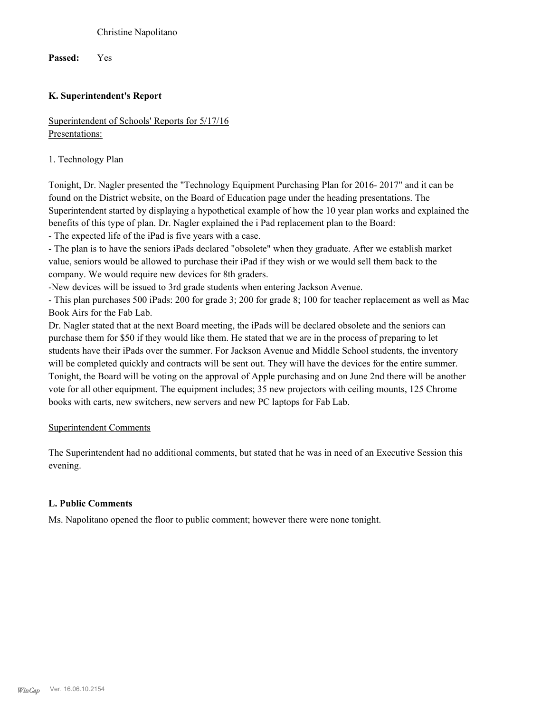Christine Napolitano

**Passed:** Yes

### **K. Superintendent's Report**

Superintendent of Schools' Reports for 5/17/16 Presentations:

1. Technology Plan

Tonight, Dr. Nagler presented the "Technology Equipment Purchasing Plan for 2016- 2017" and it can be found on the District website, on the Board of Education page under the heading presentations. The Superintendent started by displaying a hypothetical example of how the 10 year plan works and explained the benefits of this type of plan. Dr. Nagler explained the i Pad replacement plan to the Board:

- The expected life of the iPad is five years with a case.

- The plan is to have the seniors iPads declared "obsolete" when they graduate. After we establish market value, seniors would be allowed to purchase their iPad if they wish or we would sell them back to the company. We would require new devices for 8th graders.

-New devices will be issued to 3rd grade students when entering Jackson Avenue.

- This plan purchases 500 iPads: 200 for grade 3; 200 for grade 8; 100 for teacher replacement as well as Mac Book Airs for the Fab Lab.

Dr. Nagler stated that at the next Board meeting, the iPads will be declared obsolete and the seniors can purchase them for \$50 if they would like them. He stated that we are in the process of preparing to let students have their iPads over the summer. For Jackson Avenue and Middle School students, the inventory will be completed quickly and contracts will be sent out. They will have the devices for the entire summer. Tonight, the Board will be voting on the approval of Apple purchasing and on June 2nd there will be another vote for all other equipment. The equipment includes; 35 new projectors with ceiling mounts, 125 Chrome books with carts, new switchers, new servers and new PC laptops for Fab Lab.

#### Superintendent Comments

The Superintendent had no additional comments, but stated that he was in need of an Executive Session this evening.

#### **L. Public Comments**

Ms. Napolitano opened the floor to public comment; however there were none tonight.